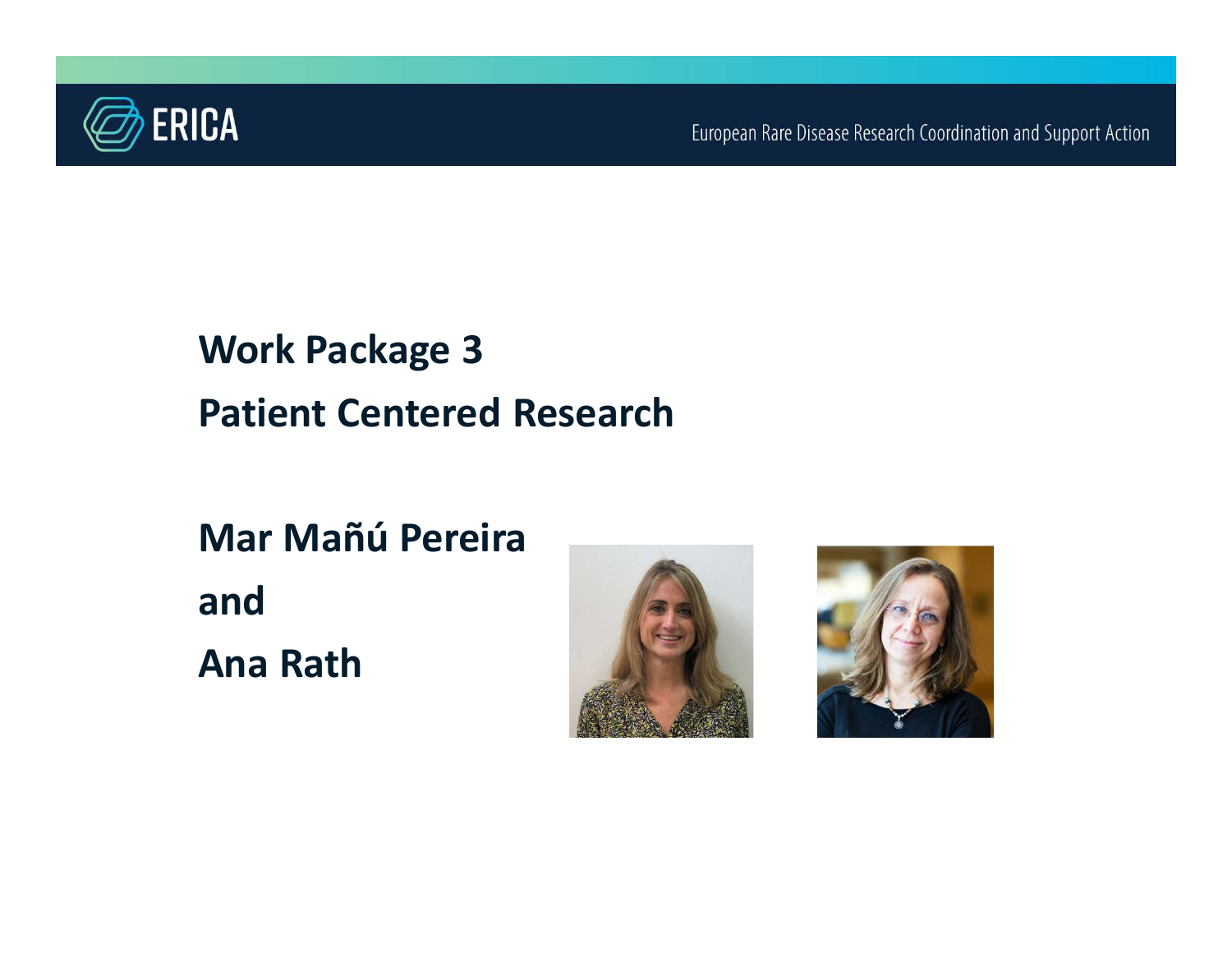

European Rare Disease Research Coordination and Support Action

# Work Package 3 Patient Centered Research Work Package 3<br>Patient Centered Research<br>Mar Mañú Pereira<br>and

and Ana Rath



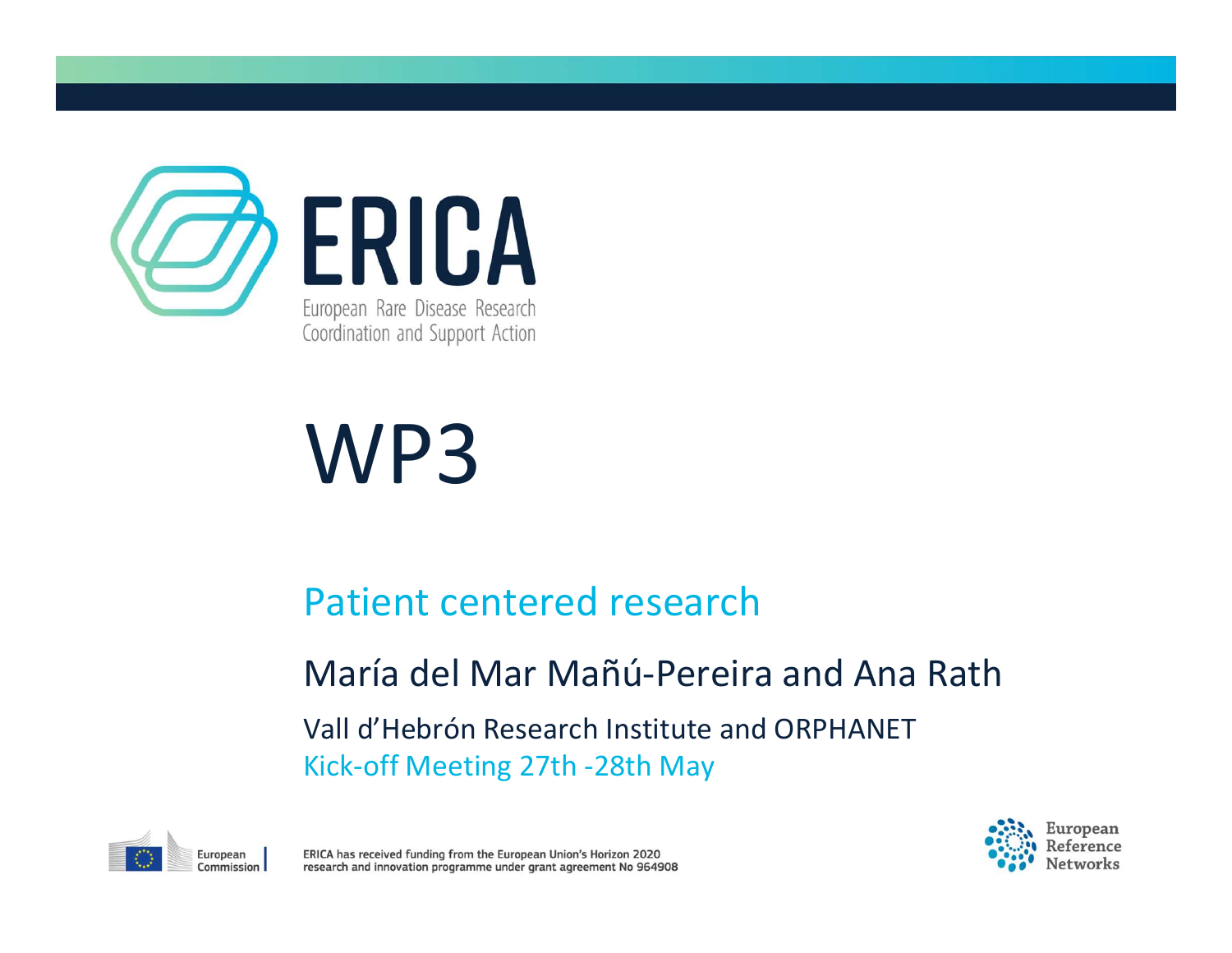

# WP3

#### Patient centered research

#### María del Mar Mañú-Pereira and Ana Rath

Vall d'Hebrón Research Institute and ORPHANET Kick-off Meeting 27th -28th May





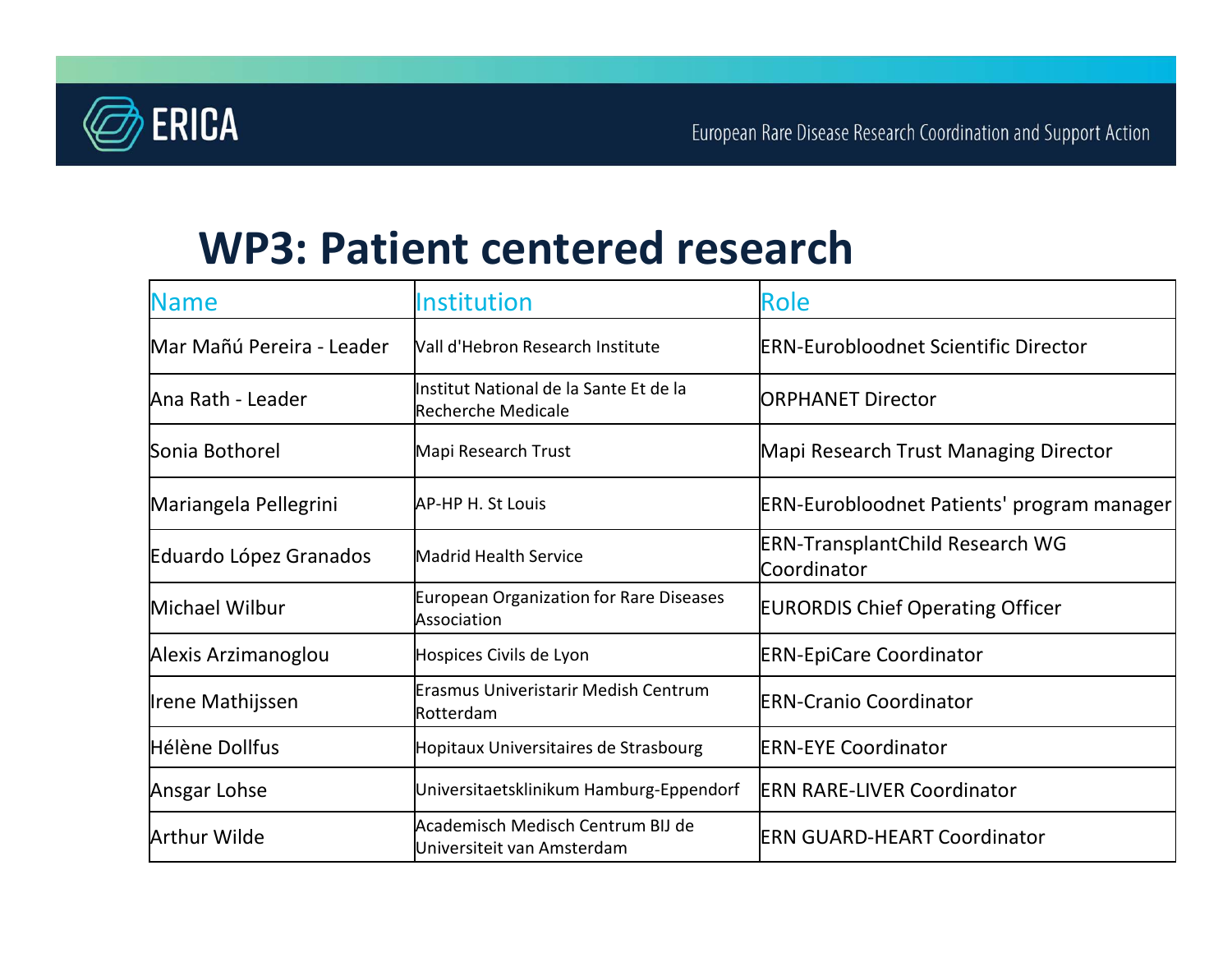

#### WP3: Patient centered research

| <b>ERICA</b>              |                                                                     | European Rare Disease Research Coordination and Support Action |
|---------------------------|---------------------------------------------------------------------|----------------------------------------------------------------|
|                           | <b>WP3: Patient centered research</b>                               |                                                                |
| <b>Name</b>               | Institution                                                         | Role                                                           |
| Mar Mañú Pereira - Leader | Wall d'Hebron Research Institute                                    | <b>ERN-Eurobloodnet Scientific Director</b>                    |
| Ana Rath - Leader         | Institut National de la Sante Et de la<br><b>Recherche Medicale</b> | <b>ORPHANET Director</b>                                       |
| Sonia Bothorel            | Mapi Research Trust                                                 | Mapi Research Trust Managing Director                          |
| Mariangela Pellegrini     | AP-HP H. St Louis                                                   | <b>ERN-Eurobloodnet Patients' program manager</b>              |
| Eduardo López Granados    | Madrid Health Service                                               | <b>ERN-TransplantChild Research WG</b><br>Coordinator          |
| Michael Wilbur            | <b>European Organization for Rare Diseases</b><br>Association       | <b>EURORDIS Chief Operating Officer</b>                        |
| Alexis Arzimanoglou       | Hospices Civils de Lyon                                             | <b>ERN-EpiCare Coordinator</b>                                 |
| Irene Mathijssen          | Erasmus Univeristarir Medish Centrum<br>Rotterdam                   | <b>ERN-Cranio Coordinator</b>                                  |
| Hélène Dollfus            | Hopitaux Universitaires de Strasbourg                               | <b>ERN-EYE Coordinator</b>                                     |
| Ansgar Lohse              | Universitaetsklinikum Hamburg-Eppendorf                             | <b>ERN RARE-LIVER Coordinator</b>                              |
| <b>Arthur Wilde</b>       | Academisch Medisch Centrum BIJ de<br>Universiteit van Amsterdam     | <b>ERN GUARD-HEART Coordinator</b>                             |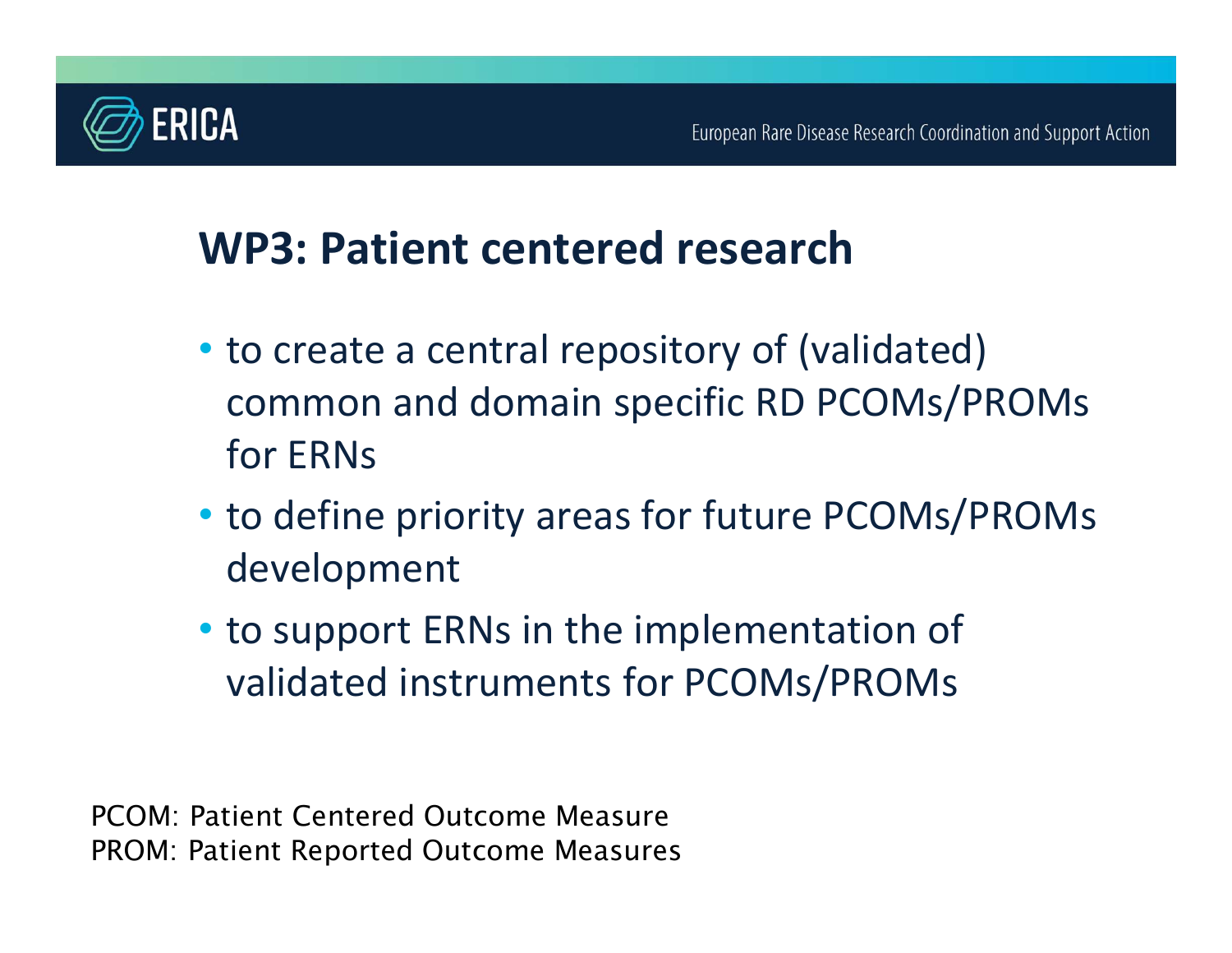

### WP3: Patient centered research

- to create a central repository of (validated) common and domain specific RD PCOMs/PROMs for ERNs
- to define priority areas for future PCOMs/PROMs development
- to support ERNs in the implementation of validated instruments for PCOMs/PROMs

PCOM: Patient Centered Outcome Measure PROM: Patient Reported Outcome Measures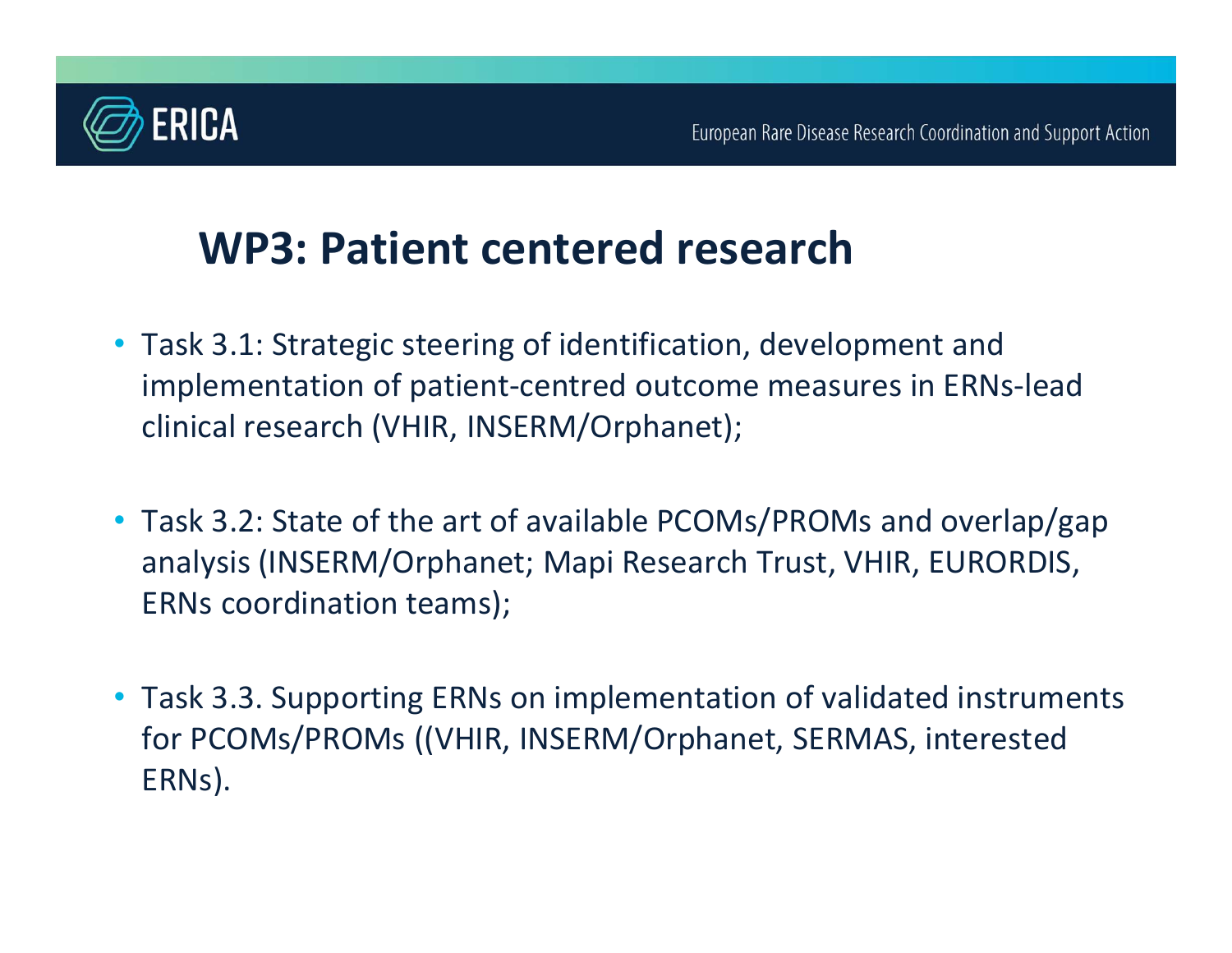

### WP3: Patient centered research

- Task 3.1: Strategic steering of identification, development and implementation of patient-centred outcome measures in ERNs-lead clinical research (VHIR, INSERM/Orphanet);
- Task 3.2: State of the art of available PCOMs/PROMs and overlap/gap analysis (INSERM/Orphanet; Mapi Research Trust, VHIR, EURORDIS, ERNs coordination teams);
- Task 3.3. Supporting ERNs on implementation of validated instruments for PCOMs/PROMs ((VHIR, INSERM/Orphanet, SERMAS, interested ERNs).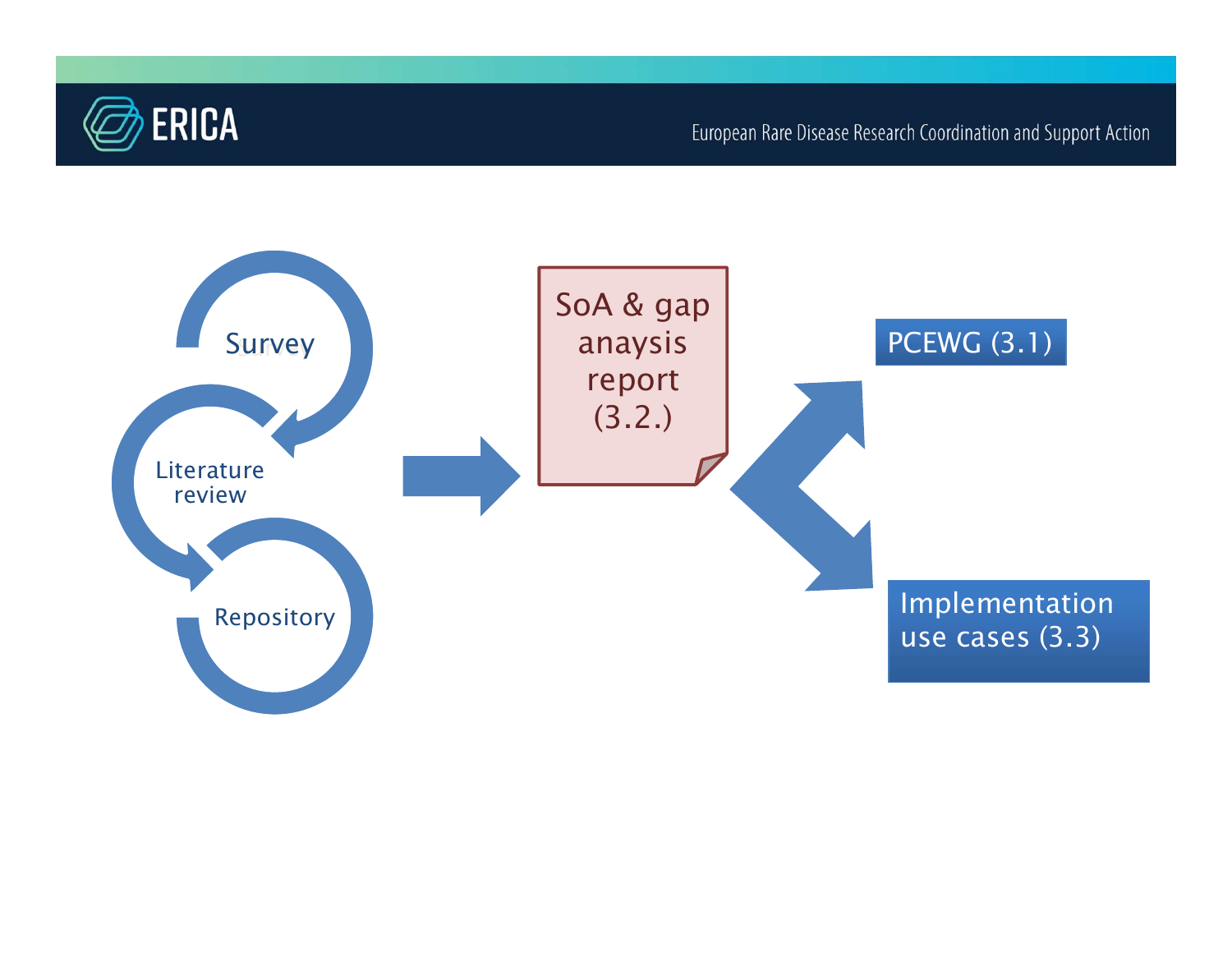